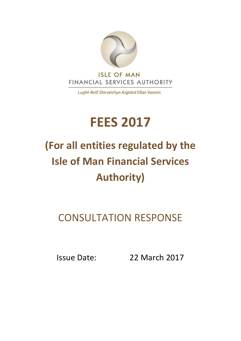

Lught-Reill Shirveishyn Argidoil Ellan Vannin

# **FEES 2017**

# **(For all entities regulated by the Isle of Man Financial Services Authority)**

# CONSULTATION RESPONSE

Issue Date: 22 March 2017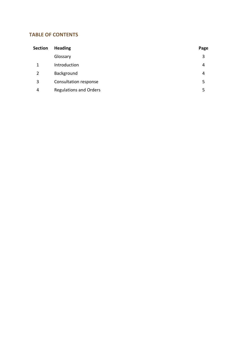# **TABLE OF CONTENTS**

| <b>Section</b> | <b>Heading</b>                | Page |
|----------------|-------------------------------|------|
|                | Glossary                      | 3    |
| 1              | Introduction                  | 4    |
| 2              | Background                    | 4    |
| 3              | Consultation response         | 5    |
| 4              | <b>Regulations and Orders</b> | 5    |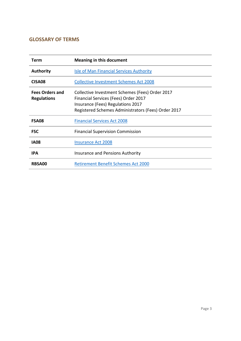#### **GLOSSARY OF TERMS**

| Term                                         | <b>Meaning in this document</b>                                                                                                                                                     |
|----------------------------------------------|-------------------------------------------------------------------------------------------------------------------------------------------------------------------------------------|
| <b>Authority</b>                             | Isle of Man Financial Services Authority                                                                                                                                            |
| CISA <sub>08</sub>                           | <b>Collective Investment Schemes Act 2008</b>                                                                                                                                       |
| <b>Fees Orders and</b><br><b>Regulations</b> | Collective Investment Schemes (Fees) Order 2017<br>Financial Services (Fees) Order 2017<br>Insurance (Fees) Regulations 2017<br>Registered Schemes Administrators (Fees) Order 2017 |
| <b>FSA08</b>                                 | <b>Financial Services Act 2008</b>                                                                                                                                                  |
| <b>FSC</b>                                   | <b>Financial Supervision Commission</b>                                                                                                                                             |
| <b>IA08</b>                                  | <b>Insurance Act 2008</b>                                                                                                                                                           |
| <b>IPA</b>                                   | <b>Insurance and Pensions Authority</b>                                                                                                                                             |
| <b>RBSA00</b>                                | <b>Retirement Benefit Schemes Act 2000</b>                                                                                                                                          |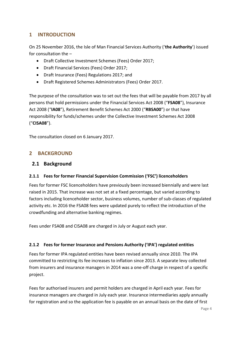### **1 INTRODUCTION**

On 25 November 2016, the Isle of Man Financial Services Authority ('**the Authority**') issued for consultation the –

- Draft Collective Investment Schemes (Fees) Order 2017;
- Draft Financial Services (Fees) Order 2017;
- Draft Insurance (Fees) Regulations 2017; and
- Draft Registered Schemes Administrators (Fees) Order 2017.

The purpose of the consultation was to set out the fees that will be payable from 2017 by all persons that hold permissions under the Financial Services Act 2008 ("**FSA08**"), Insurance Act 2008 ("**IA08**"), Retirement Benefit Schemes Act 2000 ("**RBSA00**") or that have responsibility for funds/schemes under the Collective Investment Schemes Act 2008 ("**CISA08**").

The consultation closed on 6 January 2017.

#### **2 BACKGROUND**

#### **2.1 Background**

#### **2.1.1 Fees for former Financial Supervision Commission ('FSC') licenceholders**

Fees for former FSC licenceholders have previously been increased biennially and were last raised in 2015. That increase was not set at a fixed percentage, but varied according to factors including licenceholder sector, business volumes, number of sub-classes of regulated activity etc. In 2016 the FSA08 fees were updated purely to reflect the introduction of the crowdfunding and alternative banking regimes.

Fees under FSA08 and CISA08 are charged in July or August each year.

#### **2.1.2 Fees for former Insurance and Pensions Authority ('IPA') regulated entities**

Fees for former IPA regulated entities have been revised annually since 2010. The IPA committed to restricting its fee increases to inflation since 2013. A separate levy collected from insurers and insurance managers in 2014 was a one-off charge in respect of a specific project.

Fees for authorised insurers and permit holders are charged in April each year. Fees for insurance managers are charged in July each year. Insurance intermediaries apply annually for registration and so the application fee is payable on an annual basis on the date of first